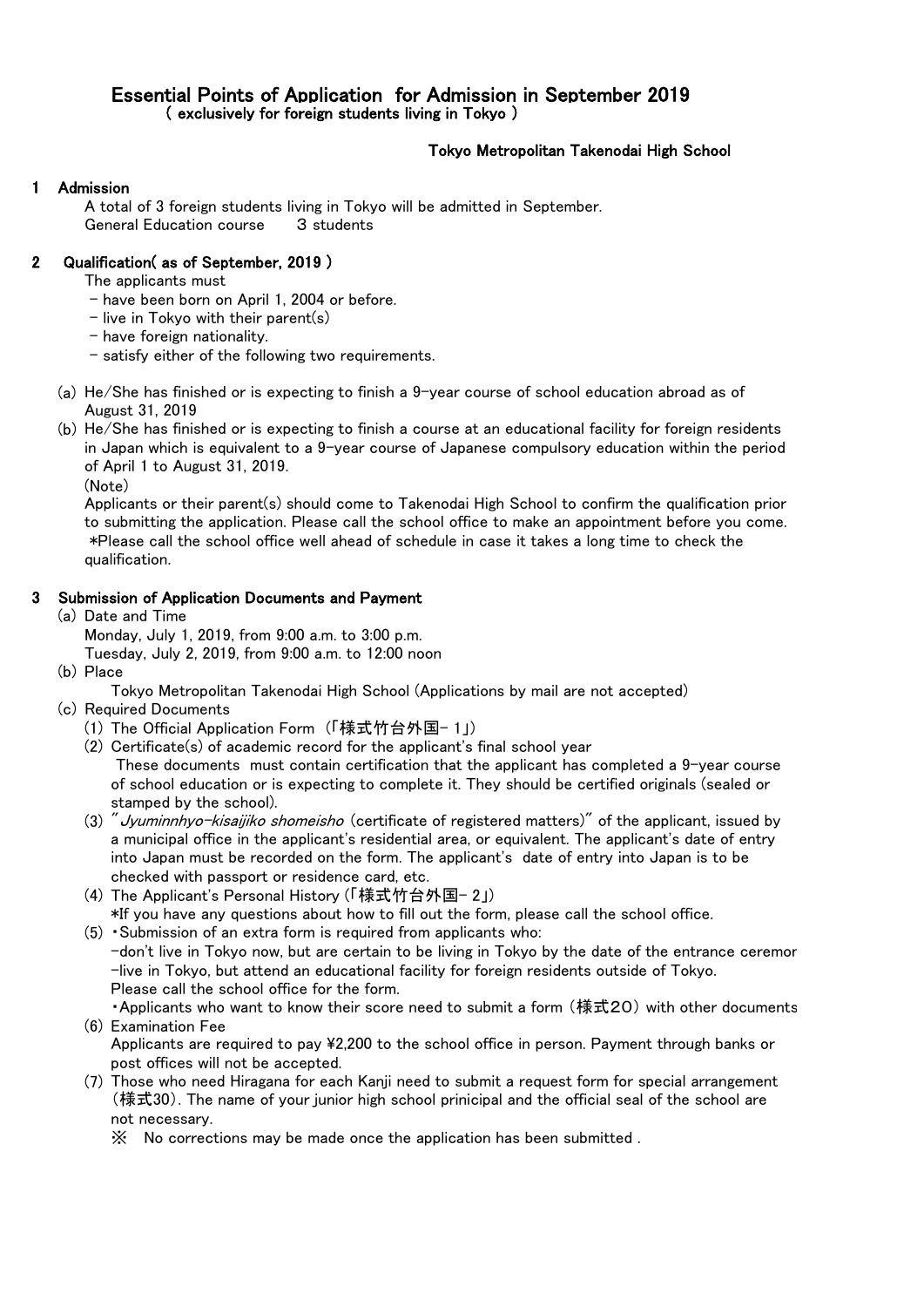# Essential Points of Application for Admission in September 2019 ( exclusively for foreign students living in Tokyo )

# Tokyo Metropolitan Takenodai High School

### **Admission**

A total of 3 foreign students living in Tokyo will be admitted in September. General Education course 3 students

# 2 Qualification( as of September, 2019 )

The applicants must

- have been born on April 1, 2004 or before.
- $-$  live in Tokyo with their parent(s)
- have foreign nationality.
- satisfy either of the following two requirements.
- (a) He/She has finished or is expecting to finish a 9-year course of school education abroad as of August 31, 2019
- (b) He/She has finished or is expecting to finish a course at an educational facility for foreign residents in Japan which is equivalent to a 9-year course of Japanese compulsory education within the period of April 1 to August 31, 2019.

(Note)

Applicants or their parent(s) should come to Takenodai High School to confirm the qualification prior to submitting the application. Please call the school office to make an appointment before you come. \*Please call the school office well ahead of schedule in case it takes a long time to check the qualification.

#### 3 Submission of Application Documents and Payment

(a) Date and Time

Monday, July 1, 2019, from 9:00 a.m. to 3:00 p.m.

- Tuesday, July 2, 2019, from 9:00 a.m. to 12:00 noon
- (b) Place

Tokyo Metropolitan Takenodai High School (Applications by mail are not accepted)

- (c) Required Documents
	- (1) The Official Application Form (「様式竹台外国- 1」)
	- (2) Certificate(s) of academic record for the applicant's final school year These documents must contain certification that the applicant has completed a 9-year course of school education or is expecting to complete it. They should be certified originals (sealed or stamped by the school).
	- (3) *" Jyuminnhyo-kisaijiko shomeisho* (certificate of registered matters)" of the applicant, issued by a municipal office in the applicant's residential area, or equivalent. The applicant's date of entry into Japan must be recorded on the form. The applicant's date of entry into Japan is to be checked with passport or residence card, etc.
	- (4) The Applicant's Personal History (「様式竹台外国- 2」) \*If you have any questions about how to fill out the form, please call the school office.
	- (5) ・Submission of an extra form is required from applicants who:  $-$ don't live in Tokyo now, but are certain to be living in Tokyo by the date of the entrance ceremor -live in Tokyo, but attend an educational facility for foreign residents outside of Tokyo. Please call the school office for the form.
	- ・Applicants who want to know their score need to submit a form (様式20) with other documents. (6) Examination Fee

Applicants are required to pay ¥2,200 to the school office in person. Payment through banks or post offices will not be accepted.

(7) Those who need Hiragana for each Kanji need to submit a request form for special arrangement (様式30). The name of your junior high school prinicipal and the official seal of the school are not necessary.

※ No corrections may be made once the application has been submitted .